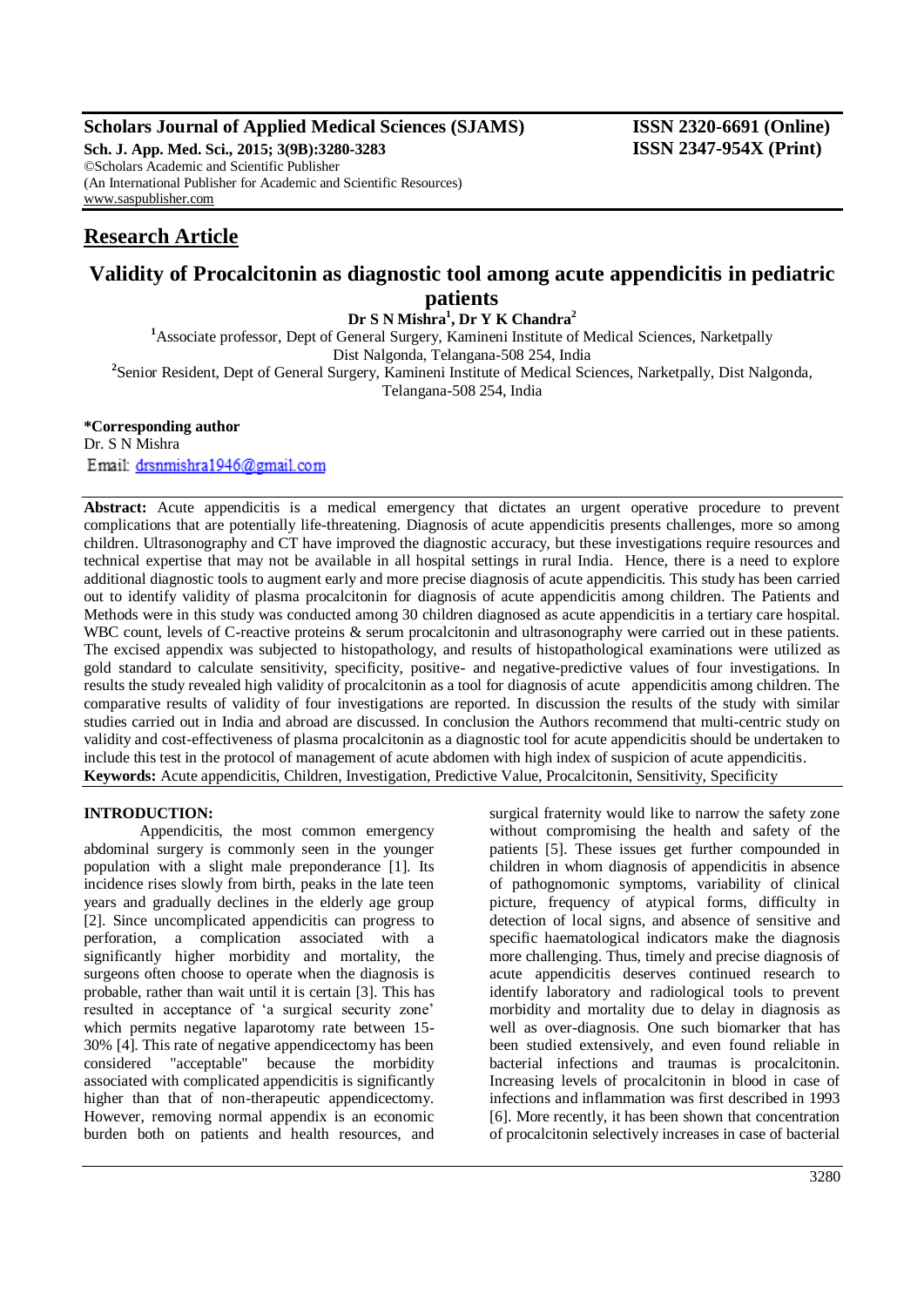# **Scholars Journal of Applied Medical Sciences (SJAMS) ISSN 2320-6691 (Online)**

**Sch. J. App. Med. Sci., 2015; 3(9B):3280-3283 ISSN 2347-954X (Print)** ©Scholars Academic and Scientific Publisher (An International Publisher for Academic and Scientific Resources) [www.saspublisher.com](http://www.saspublisher.com/)

# **Research Article**

# **Validity of Procalcitonin as diagnostic tool among acute appendicitis in pediatric patients**

**Dr S N Mishra<sup>1</sup> , Dr Y K Chandra<sup>2</sup>** <sup>1</sup>Associate professor, Dept of General Surgery, Kamineni Institute of Medical Sciences, Narketpally Dist Nalgonda, Telangana-508 254, India <sup>2</sup> Senior Resident, Dept of General Surgery, Kamineni Institute of Medical Sciences, Narketpally, Dist Nalgonda, Telangana-508 254, India

**\*Corresponding author**

Dr. S N Mishra Email: drsnmishra1946@gmail.com

**Abstract:** Acute appendicitis is a medical emergency that dictates an urgent operative procedure to prevent complications that are potentially life-threatening. Diagnosis of acute appendicitis presents challenges, more so among children. Ultrasonography and CT have improved the diagnostic accuracy, but these investigations require resources and technical expertise that may not be available in all hospital settings in rural India. Hence, there is a need to explore additional diagnostic tools to augment early and more precise diagnosis of acute appendicitis. This study has been carried out to identify validity of plasma procalcitonin for diagnosis of acute appendicitis among children. The Patients and Methods were in this study was conducted among 30 children diagnosed as acute appendicitis in a tertiary care hospital. WBC count, levels of C-reactive proteins & serum procalcitonin and ultrasonography were carried out in these patients. The excised appendix was subjected to histopathology, and results of histopathological examinations were utilized as gold standard to calculate sensitivity, specificity, positive- and negative-predictive values of four investigations. In results the study revealed high validity of procalcitonin as a tool for diagnosis of acute appendicitis among children. The comparative results of validity of four investigations are reported. In discussion the results of the study with similar studies carried out in India and abroad are discussed. In conclusion the Authors recommend that multi-centric study on validity and cost-effectiveness of plasma procalcitonin as a diagnostic tool for acute appendicitis should be undertaken to include this test in the protocol of management of acute abdomen with high index of suspicion of acute appendicitis. **Keywords:** Acute appendicitis, Children, Investigation, Predictive Value, Procalcitonin, Sensitivity, Specificity

## **INTRODUCTION:**

Appendicitis, the most common emergency abdominal surgery is commonly seen in the younger population with a slight male preponderance [1]. Its incidence rises slowly from birth, peaks in the late teen years and gradually declines in the elderly age group [2]. Since uncomplicated appendicitis can progress to perforation, a complication associated with a significantly higher morbidity and mortality, the surgeons often choose to operate when the diagnosis is probable, rather than wait until it is certain [3]. This has resulted in acceptance of 'a surgical security zone' which permits negative laparotomy rate between 15- 30% [4]. This rate of negative appendicectomy has been considered "acceptable" because the morbidity associated with complicated appendicitis is significantly higher than that of non-therapeutic appendicectomy. However, removing normal appendix is an economic burden both on patients and health resources, and

surgical fraternity would like to narrow the safety zone without compromising the health and safety of the patients [5]. These issues get further compounded in children in whom diagnosis of appendicitis in absence of pathognomonic symptoms, variability of clinical picture, frequency of atypical forms, difficulty in detection of local signs, and absence of sensitive and specific haematological indicators make the diagnosis more challenging. Thus, timely and precise diagnosis of acute appendicitis deserves continued research to identify laboratory and radiological tools to prevent morbidity and mortality due to delay in diagnosis as well as over-diagnosis. One such biomarker that has been studied extensively, and even found reliable in bacterial infections and traumas is procalcitonin. Increasing levels of procalcitonin in blood in case of infections and inflammation was first described in 1993 [6]. More recently, it has been shown that concentration of procalcitonin selectively increases in case of bacterial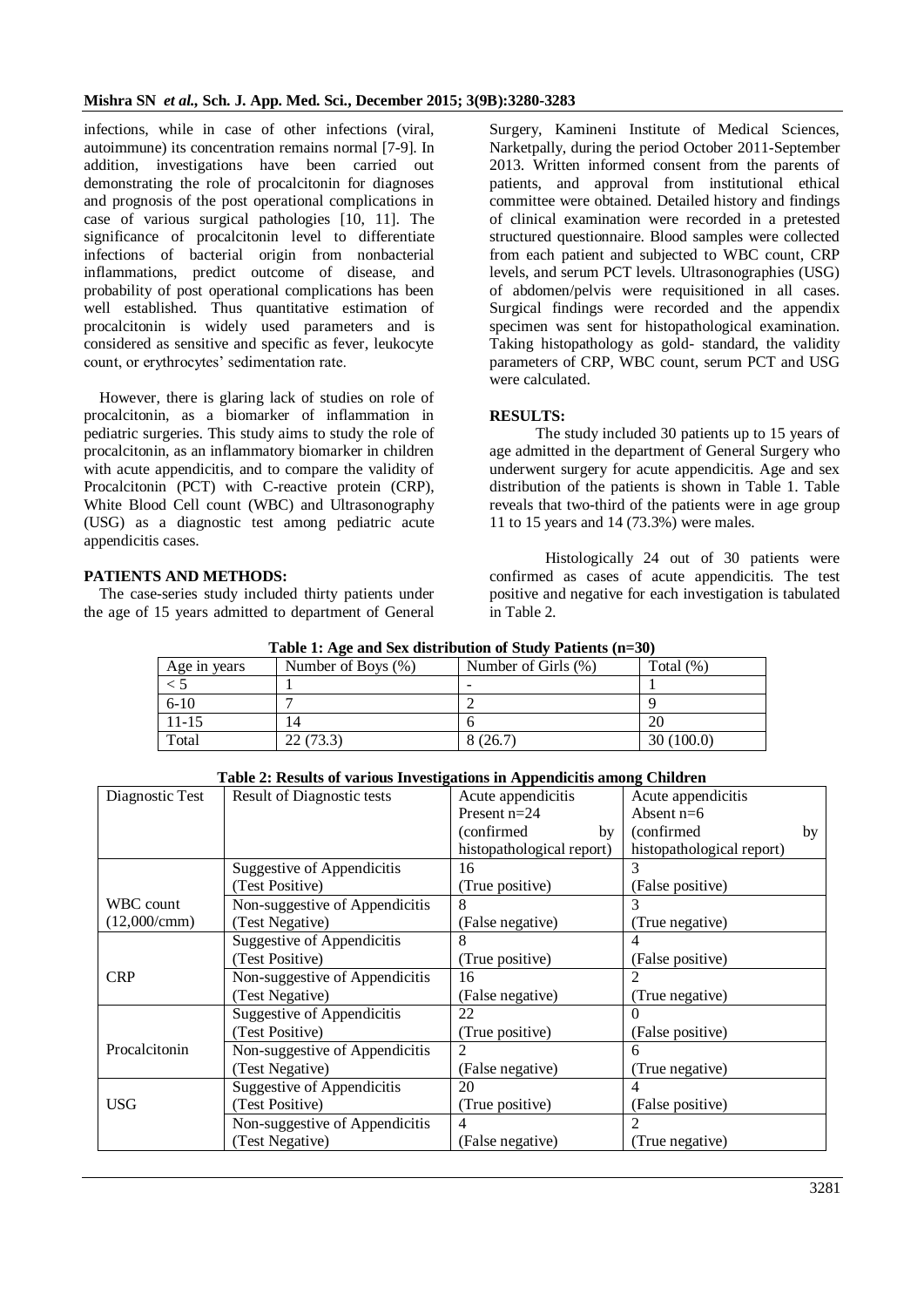infections, while in case of other infections (viral, autoimmune) its concentration remains normal [7-9]. In addition, investigations have been carried out demonstrating the role of procalcitonin for diagnoses and prognosis of the post operational complications in case of various surgical pathologies [10, 11]. The significance of procalcitonin level to differentiate infections of bacterial origin from nonbacterial inflammations, predict outcome of disease, and probability of post operational complications has been well established. Thus quantitative estimation of procalcitonin is widely used parameters and is considered as sensitive and specific as fever, leukocyte count, or erythrocytes' sedimentation rate.

However, there is glaring lack of studies on role of procalcitonin, as a biomarker of inflammation in pediatric surgeries. This study aims to study the role of procalcitonin, as an inflammatory biomarker in children with acute appendicitis, and to compare the validity of Procalcitonin (PCT) with C-reactive protein (CRP), White Blood Cell count (WBC) and Ultrasonography (USG) as a diagnostic test among pediatric acute appendicitis cases.

**PATIENTS AND METHODS:** 

The case-series study included thirty patients under the age of 15 years admitted to department of General

Surgery, Kamineni Institute of Medical Sciences, Narketpally, during the period October 2011-September 2013. Written informed consent from the parents of patients, and approval from institutional ethical committee were obtained. Detailed history and findings of clinical examination were recorded in a pretested structured questionnaire. Blood samples were collected from each patient and subjected to WBC count, CRP levels, and serum PCT levels. Ultrasonographies (USG) of abdomen/pelvis were requisitioned in all cases. Surgical findings were recorded and the appendix specimen was sent for histopathological examination. Taking histopathology as gold- standard, the validity parameters of CRP, WBC count, serum PCT and USG were calculated.

## **RESULTS:**

The study included 30 patients up to 15 years of age admitted in the department of General Surgery who underwent surgery for acute appendicitis. Age and sex distribution of the patients is shown in Table 1. Table reveals that two-third of the patients were in age group 11 to 15 years and 14 (73.3%) were males.

Histologically 24 out of 30 patients were confirmed as cases of acute appendicitis. The test positive and negative for each investigation is tabulated in Table 2.

| Table 1: Age and Sex distribution of Study Patients (n=30) |                    |                     |              |  |  |  |
|------------------------------------------------------------|--------------------|---------------------|--------------|--|--|--|
| Age in years                                               | Number of Boys (%) | Number of Girls (%) | Total $(\%)$ |  |  |  |
|                                                            |                    |                     |              |  |  |  |
| $6-10$                                                     |                    |                     |              |  |  |  |
| $11 - 15$                                                  | 14                 |                     | 20           |  |  |  |
| Total                                                      | 22(73.3)           | 8(26.7)             | 30(100.0)    |  |  |  |

**Table 1: Age and Sex distribution of Study Patients (n=30)**

| Table 2. Results of valued investigations in Appendicity among Children |                                   |                           |                           |  |  |  |  |
|-------------------------------------------------------------------------|-----------------------------------|---------------------------|---------------------------|--|--|--|--|
| Diagnostic Test                                                         | <b>Result of Diagnostic tests</b> | Acute appendicitis        | Acute appendicitis        |  |  |  |  |
|                                                                         |                                   | Present $n=24$            | Absent $n=6$              |  |  |  |  |
|                                                                         |                                   | (confirmed)<br>by         | (confirmed)<br>by         |  |  |  |  |
|                                                                         |                                   | histopathological report) | histopathological report) |  |  |  |  |
|                                                                         | Suggestive of Appendicitis        | 16                        |                           |  |  |  |  |
|                                                                         | (Test Positive)                   | (True positive)           | (False positive)          |  |  |  |  |
| WBC count                                                               | Non-suggestive of Appendicitis    | 8                         |                           |  |  |  |  |
| (12,000/cmm)                                                            | (Test Negative)                   | (False negative)          | (True negative)           |  |  |  |  |
|                                                                         | <b>Suggestive of Appendicitis</b> | 8                         | 4                         |  |  |  |  |
|                                                                         | (Test Positive)                   | (True positive)           | (False positive)          |  |  |  |  |
| <b>CRP</b>                                                              | Non-suggestive of Appendicitis    | 16                        |                           |  |  |  |  |
|                                                                         | (Test Negative)                   | (False negative)          | (True negative)           |  |  |  |  |
|                                                                         | <b>Suggestive of Appendicitis</b> | 22                        |                           |  |  |  |  |
|                                                                         | (Test Positive)                   | (True positive)           | (False positive)          |  |  |  |  |
| Procalcitonin                                                           | Non-suggestive of Appendicitis    | $\mathfrak{D}$            | 6                         |  |  |  |  |
|                                                                         | (Test Negative)                   | (False negative)          | (True negative)           |  |  |  |  |
|                                                                         | Suggestive of Appendicitis        | 20                        | 4                         |  |  |  |  |
| <b>USG</b>                                                              | (Test Positive)                   | (True positive)           | (False positive)          |  |  |  |  |
|                                                                         | Non-suggestive of Appendicitis    | 4                         | 2                         |  |  |  |  |
|                                                                         | (Test Negative)                   | (False negative)          | (True negative)           |  |  |  |  |
|                                                                         |                                   |                           |                           |  |  |  |  |

### **Table 2: Results of various Investigations in Appendicitis among Children**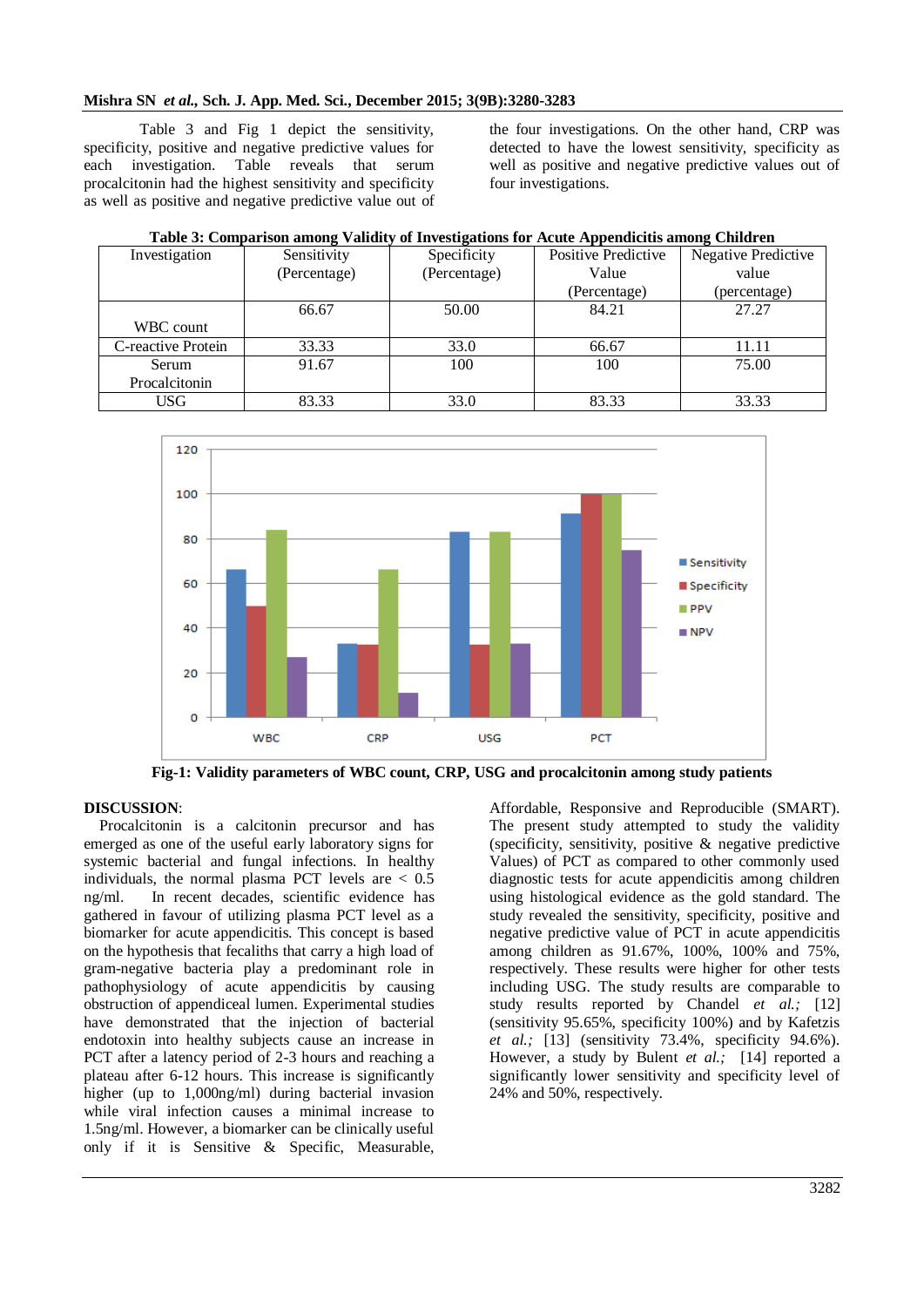Table 3 and Fig 1 depict the sensitivity, specificity, positive and negative predictive values for each investigation. Table reveals that serum procalcitonin had the highest sensitivity and specificity as well as positive and negative predictive value out of

the four investigations. On the other hand, CRP was detected to have the lowest sensitivity, specificity as well as positive and negative predictive values out of four investigations.

| $\sim$ which is a computation of military and $\sim$ in the computational contribution of the computation of $\sim$ |              |              |                     |                     |  |
|---------------------------------------------------------------------------------------------------------------------|--------------|--------------|---------------------|---------------------|--|
| Investigation                                                                                                       | Sensitivity  | Specificity  | Positive Predictive | Negative Predictive |  |
|                                                                                                                     | (Percentage) | (Percentage) | Value               | value               |  |
|                                                                                                                     |              |              | (Percentage)        | (percentage)        |  |
|                                                                                                                     | 66.67        | 50.00        | 84.21               | 27.27               |  |
| WBC count                                                                                                           |              |              |                     |                     |  |
| C-reactive Protein                                                                                                  | 33.33        | 33.0         | 66.67               | 11.11               |  |
| Serum                                                                                                               | 91.67        | 100          | 100                 | 75.00               |  |
| Procalcitonin                                                                                                       |              |              |                     |                     |  |
| USG.                                                                                                                | 83.33        | 33.0         | 83.33               | 33.33               |  |





**Fig-1: Validity parameters of WBC count, CRP, USG and procalcitonin among study patients**

## **DISCUSSION**:

Procalcitonin is a calcitonin precursor and has emerged as one of the useful early laboratory signs for systemic bacterial and fungal infections. In healthy individuals, the normal plasma PCT levels are  $< 0.5$ ng/ml. In recent decades, scientific evidence has gathered in favour of utilizing plasma PCT level as a biomarker for acute appendicitis. This concept is based on the hypothesis that fecaliths that carry a high load of gram-negative bacteria play a predominant role in pathophysiology of acute appendicitis by causing obstruction of appendiceal lumen. Experimental studies have demonstrated that the injection of bacterial endotoxin into healthy subjects cause an increase in PCT after a latency period of 2-3 hours and reaching a plateau after 6-12 hours. This increase is significantly higher (up to 1,000ng/ml) during bacterial invasion while viral infection causes a minimal increase to 1.5ng/ml. However, a biomarker can be clinically useful only if it is Sensitive & Specific, Measurable,

Affordable, Responsive and Reproducible (SMART). The present study attempted to study the validity (specificity, sensitivity, positive & negative predictive Values) of PCT as compared to other commonly used diagnostic tests for acute appendicitis among children using histological evidence as the gold standard. The study revealed the sensitivity, specificity, positive and negative predictive value of PCT in acute appendicitis among children as 91.67%, 100%, 100% and 75%, respectively. These results were higher for other tests including USG. The study results are comparable to study results reported by Chandel *et al.;* [12] (sensitivity 95.65%, specificity 100%) and by Kafetzis *et al.;* [13] (sensitivity 73.4%, specificity 94.6%). However, a study by Bulent *et al.;* [14] reported a significantly lower sensitivity and specificity level of 24% and 50%, respectively.